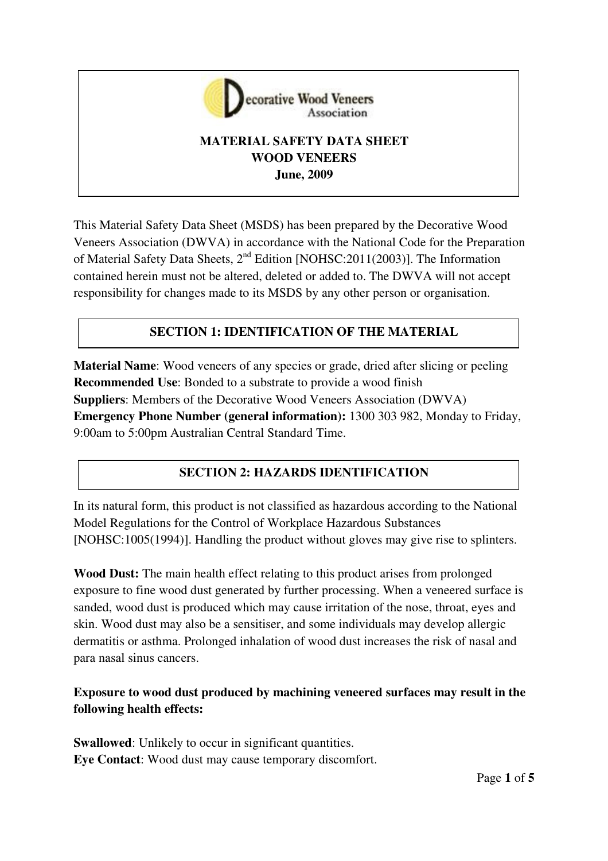

# **MATERIAL SAFETY DATA SHEET WOOD VENEERS June, 2009**

This Material Safety Data Sheet (MSDS) has been prepared by the Decorative Wood Veneers Association (DWVA) in accordance with the National Code for the Preparation of Material Safety Data Sheets, 2nd Edition [NOHSC:2011(2003)]. The Information contained herein must not be altered, deleted or added to. The DWVA will not accept responsibility for changes made to its MSDS by any other person or organisation.

# **SECTION 1: IDENTIFICATION OF THE MATERIAL**

**Material Name**: Wood veneers of any species or grade, dried after slicing or peeling **Recommended Use**: Bonded to a substrate to provide a wood finish **Suppliers**: Members of the Decorative Wood Veneers Association (DWVA) **Emergency Phone Number (general information):** 1300 303 982, Monday to Friday, 9:00am to 5:00pm Australian Central Standard Time.

# **SECTION 2: HAZARDS IDENTIFICATION**

In its natural form, this product is not classified as hazardous according to the National Model Regulations for the Control of Workplace Hazardous Substances [NOHSC:1005(1994)]. Handling the product without gloves may give rise to splinters.

**Wood Dust:** The main health effect relating to this product arises from prolonged exposure to fine wood dust generated by further processing. When a veneered surface is sanded, wood dust is produced which may cause irritation of the nose, throat, eyes and skin. Wood dust may also be a sensitiser, and some individuals may develop allergic dermatitis or asthma. Prolonged inhalation of wood dust increases the risk of nasal and para nasal sinus cancers.

# **Exposure to wood dust produced by machining veneered surfaces may result in the following health effects:**

**Swallowed**: Unlikely to occur in significant quantities. **Eye Contact**: Wood dust may cause temporary discomfort.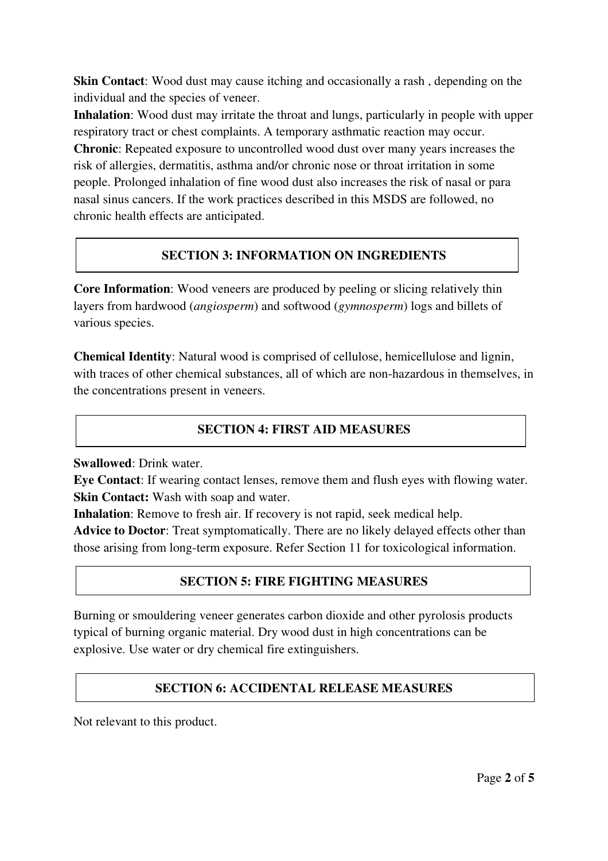**Skin Contact:** Wood dust may cause itching and occasionally a rash, depending on the individual and the species of veneer.

**Inhalation**: Wood dust may irritate the throat and lungs, particularly in people with upper respiratory tract or chest complaints. A temporary asthmatic reaction may occur. **Chronic**: Repeated exposure to uncontrolled wood dust over many years increases the risk of allergies, dermatitis, asthma and/or chronic nose or throat irritation in some people. Prolonged inhalation of fine wood dust also increases the risk of nasal or para nasal sinus cancers. If the work practices described in this MSDS are followed, no chronic health effects are anticipated.

## **SECTION 3: INFORMATION ON INGREDIENTS**

**Core Information**: Wood veneers are produced by peeling or slicing relatively thin layers from hardwood (*angiosperm*) and softwood (*gymnosperm*) logs and billets of various species.

**Chemical Identity**: Natural wood is comprised of cellulose, hemicellulose and lignin, with traces of other chemical substances, all of which are non-hazardous in themselves, in the concentrations present in veneers.

#### **SECTION 4: FIRST AID MEASURES**

**Swallowed**: Drink water.

**Eye Contact**: If wearing contact lenses, remove them and flush eyes with flowing water. **Skin Contact:** Wash with soap and water.

**Inhalation**: Remove to fresh air. If recovery is not rapid, seek medical help.

**Advice to Doctor**: Treat symptomatically. There are no likely delayed effects other than those arising from long-term exposure. Refer Section 11 for toxicological information.

## **SECTION 5: FIRE FIGHTING MEASURES**

Burning or smouldering veneer generates carbon dioxide and other pyrolosis products typical of burning organic material. Dry wood dust in high concentrations can be explosive. Use water or dry chemical fire extinguishers.

## **SECTION 6: ACCIDENTAL RELEASE MEASURES**

Not relevant to this product.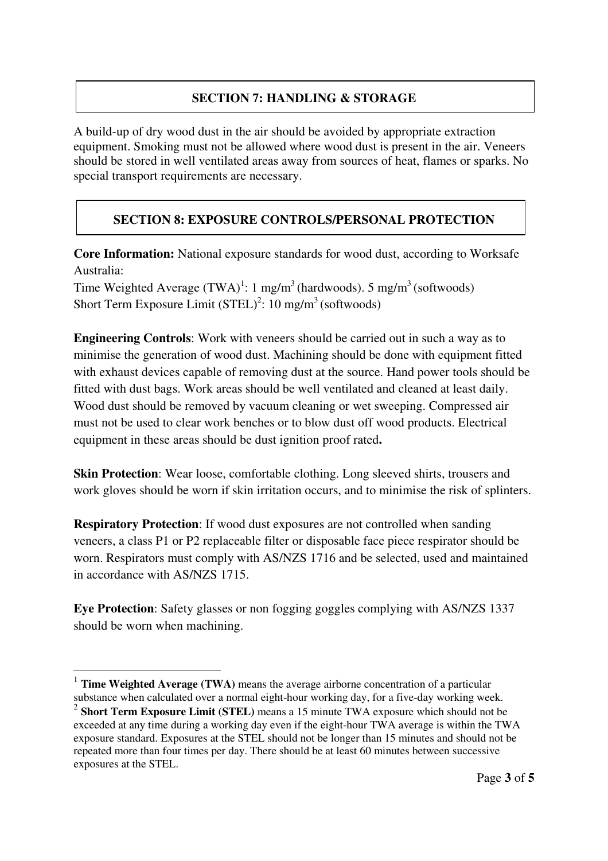## **SECTION 7: HANDLING & STORAGE**

A build-up of dry wood dust in the air should be avoided by appropriate extraction equipment. Smoking must not be allowed where wood dust is present in the air. Veneers should be stored in well ventilated areas away from sources of heat, flames or sparks. No special transport requirements are necessary.

# **SECTION 8: EXPOSURE CONTROLS/PERSONAL PROTECTION**

**Core Information:** National exposure standards for wood dust, according to Worksafe Australia:

Time Weighted Average  $(TWA)^1$ : 1 mg/m<sup>3</sup> (hardwoods). 5 mg/m<sup>3</sup> (softwoods) Short Term Exposure Limit  $(STEL)^2$ : 10 mg/m<sup>3</sup> (softwoods)

**Engineering Controls**: Work with veneers should be carried out in such a way as to minimise the generation of wood dust. Machining should be done with equipment fitted with exhaust devices capable of removing dust at the source. Hand power tools should be fitted with dust bags. Work areas should be well ventilated and cleaned at least daily. Wood dust should be removed by vacuum cleaning or wet sweeping. Compressed air must not be used to clear work benches or to blow dust off wood products. Electrical equipment in these areas should be dust ignition proof rated**.**

**Skin Protection**: Wear loose, comfortable clothing. Long sleeved shirts, trousers and work gloves should be worn if skin irritation occurs, and to minimise the risk of splinters.

**Respiratory Protection**: If wood dust exposures are not controlled when sanding veneers, a class P1 or P2 replaceable filter or disposable face piece respirator should be worn. Respirators must comply with AS/NZS 1716 and be selected, used and maintained in accordance with AS/NZS 1715.

**Eye Protection**: Safety glasses or non fogging goggles complying with AS/NZS 1337 should be worn when machining.

 $\overline{a}$ 

<sup>1</sup> **Time Weighted Average (TWA)** means the average airborne concentration of a particular substance when calculated over a normal eight-hour working day, for a five-day working week.

<sup>2</sup> **Short Term Exposure Limit (STEL)** means a 15 minute TWA exposure which should not be exceeded at any time during a working day even if the eight-hour TWA average is within the TWA exposure standard. Exposures at the STEL should not be longer than 15 minutes and should not be repeated more than four times per day. There should be at least 60 minutes between successive exposures at the STEL.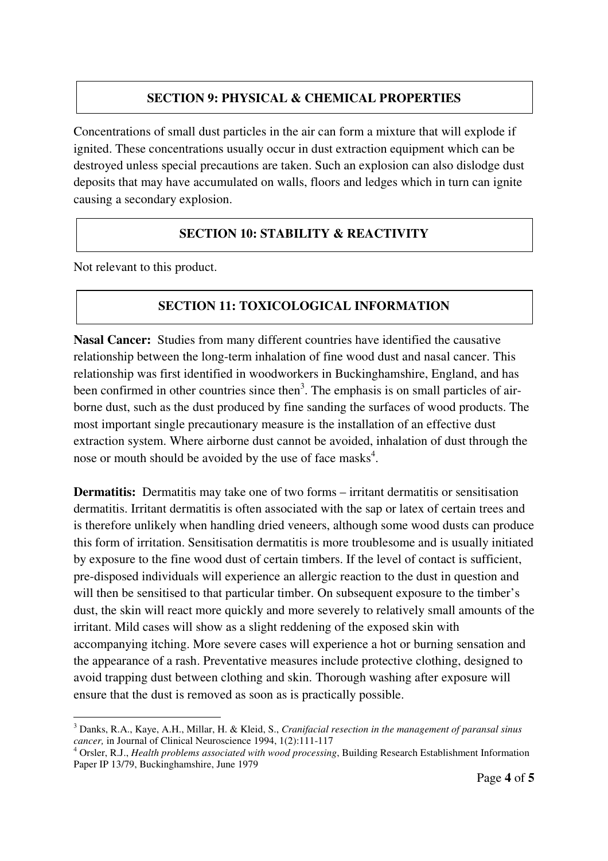### **SECTION 9: PHYSICAL & CHEMICAL PROPERTIES**

Concentrations of small dust particles in the air can form a mixture that will explode if ignited. These concentrations usually occur in dust extraction equipment which can be destroyed unless special precautions are taken. Such an explosion can also dislodge dust deposits that may have accumulated on walls, floors and ledges which in turn can ignite causing a secondary explosion.

### **SECTION 10: STABILITY & REACTIVITY**

Not relevant to this product.

### **SECTION 11: TOXICOLOGICAL INFORMATION**

**Nasal Cancer:** Studies from many different countries have identified the causative relationship between the long-term inhalation of fine wood dust and nasal cancer. This relationship was first identified in woodworkers in Buckinghamshire, England, and has been confirmed in other countries since then<sup>3</sup>. The emphasis is on small particles of airborne dust, such as the dust produced by fine sanding the surfaces of wood products. The most important single precautionary measure is the installation of an effective dust extraction system. Where airborne dust cannot be avoided, inhalation of dust through the nose or mouth should be avoided by the use of face masks<sup>4</sup>.

**Dermatitis:** Dermatitis may take one of two forms – irritant dermatitis or sensitisation dermatitis. Irritant dermatitis is often associated with the sap or latex of certain trees and is therefore unlikely when handling dried veneers, although some wood dusts can produce this form of irritation. Sensitisation dermatitis is more troublesome and is usually initiated by exposure to the fine wood dust of certain timbers. If the level of contact is sufficient, pre-disposed individuals will experience an allergic reaction to the dust in question and will then be sensitised to that particular timber. On subsequent exposure to the timber's dust, the skin will react more quickly and more severely to relatively small amounts of the irritant. Mild cases will show as a slight reddening of the exposed skin with accompanying itching. More severe cases will experience a hot or burning sensation and the appearance of a rash. Preventative measures include protective clothing, designed to avoid trapping dust between clothing and skin. Thorough washing after exposure will ensure that the dust is removed as soon as is practically possible.

 3 Danks, R.A., Kaye, A.H., Millar, H. & Kleid, S., *Cranifacial resection in the management of paransal sinus* 

*cancer,* in Journal of Clinical Neuroscience 1994, 1(2):111-117 4 Orsler, R.J., *Health problems associated with wood processing*, Building Research Establishment Information Paper IP 13/79, Buckinghamshire, June 1979